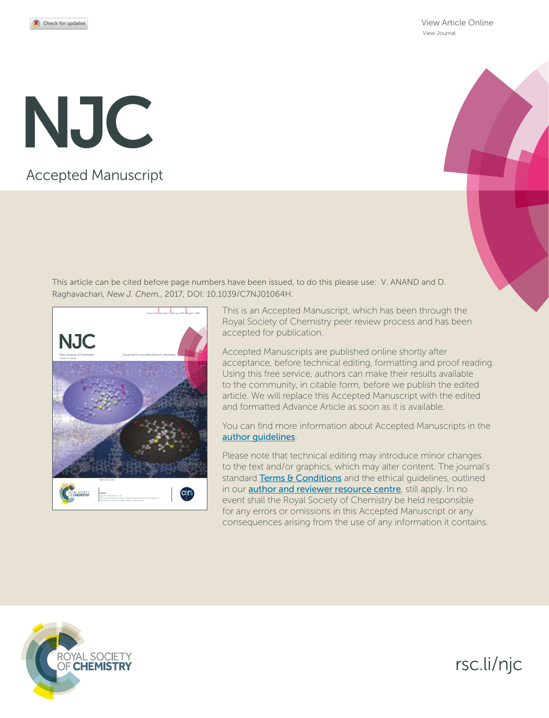View Article Online View Journal

# Accepted Manuscript NJC

This article can be cited before page numbers have been issued, to do this please use: V. ANAND and D. Raghavachari*, New J. Chem.*, 2017, DOI: 10.1039/C7NJ01064H.



This is an Accepted Manuscript, which has been through the Royal Society of Chemistry peer review process and has been accepted for publication.

Accepted Manuscripts are published online shortly after acceptance, before technical editing, formatting and proof reading. Using this free service, authors can make their results available to the community, in citable form, before we publish the edited article. We will replace this Accepted Manuscript with the edited and formatted Advance Article as soon as it is available.

You can find more information about Accepted Manuscripts in the author guidelines.

Please note that technical editing may introduce minor changes to the text and/or graphics, which may alter content. The journal's standard Terms & Conditions and the ethical guidelines, outlined in our **author and reviewer resource centre**, still apply. In no event shall the Royal Society of Chemistry be held responsible for any errors or omissions in this Accepted Manuscript or any consequences arising from the use of any information it contains.



# rsc.li/njc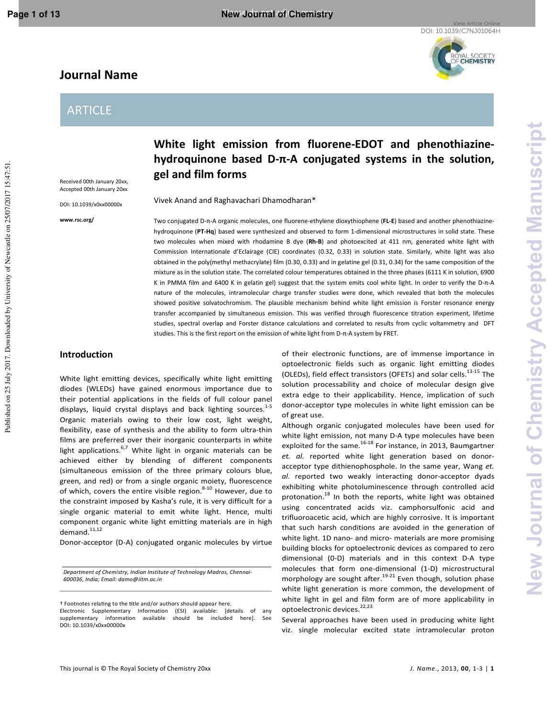Published on 25 July 2017. Downloaded by University of Newcastle on 25/07/2017 15:47:51

YAL SOCIETY<br>CHEMISTRY

# **Journal Name**

# ARTICLE

Received 00th January 20xx, Accepted 00th January 20xx

DOI: 10.1039/x0xx00000x

**www.rsc.org/** 

**White light emission from fluorene-EDOT and phenothiazinehydroquinone based D-π-A conjugated systems in the solution, gel and film forms** 

Vivek Anand and Raghavachari Dhamodharan\*

Two conjugated D-π-A organic molecules, one fluorene-ethylene dioxythiophene (**FL-E**) based and another phenothiazinehydroquinone (**PT-Hq**) based were synthesized and observed to form 1-dimensional microstructures in solid state. These two molecules when mixed with rhodamine B dye (**Rh-B**) and photoexcited at 411 nm, generated white light with Commission Internationale d'Eclairage (CIE) coordinates (0.32, 0.33) in solution state. Similarly, white light was also obtained in the poly(methyl methacrylate) film (0.30, 0.33) and in gelatine gel (0.31, 0.34) for the same composition of the mixture as in the solution state. The correlated colour temperatures obtained in the three phases (6111 K in solution, 6900 K in PMMA film and 6400 K in gelatin gel) suggest that the system emits cool white light. In order to verify the D-π-A nature of the molecules, intramolecular charge transfer studies were done, which revealed that both the molecules showed positive solvatochromism. The plausible mechanism behind white light emission is Forster resonance energy transfer accompanied by simultaneous emission. This was verified through fluorescence titration experiment, lifetime studies, spectral overlap and Forster distance calculations and correlated to results from cyclic voltammetry and DFT studies. This is the first report on the emission of white light from D-π-A system by FRET.

### **Introduction**

White light emitting devices, specifically white light emitting diodes (WLEDs) have gained enormous importance due to their potential applications in the fields of full colour panel displays, liquid crystal displays and back lighting sources.<sup>1-5</sup> Organic materials owing to their low cost, light weight, flexibility, ease of synthesis and the ability to form ultra-thin films are preferred over their inorganic counterparts in white light applications.<sup>6,7</sup> White light in organic materials can be achieved either by blending of different components (simultaneous emission of the three primary colours blue, green, and red) or from a single organic moiety, fluorescence of which, covers the entire visible region. $8-10$  However, due to the constraint imposed by Kasha's rule, it is very difficult for a single organic material to emit white light. Hence, multi component organic white light emitting materials are in high demand.<sup>11,12</sup>

Donor-acceptor (D-A) conjugated organic molecules by virtue

*Department of Chemistry, Indian Institute of Technology Madras, Chennai-600036, India; Email: damo@iitm.ac.in* 

This journal is © The Royal Society of Chemistry 20xx *J. Name*., 2013, **00**, 1-3 | **1**

of their electronic functions, are of immense importance in optoelectronic fields such as organic light emitting diodes (OLEDs), field effect transistors (OFETs) and solar cells. $^{13-15}$  The solution processability and choice of molecular design give extra edge to their applicability. Hence, implication of such donor-acceptor type molecules in white light emission can be of great use.

Although organic conjugated molecules have been used for white light emission, not many D-A type molecules have been exploited for the same.<sup>16-18</sup> For instance, in 2013, Baumgartner *et. al.* reported white light generation based on donoracceptor type dithienophosphole. In the same year, Wang *et. al.* reported two weakly interacting donor-acceptor dyads exhibiting white photoluminescence through controlled acid protonation.<sup>18</sup> In both the reports, white light was obtained using concentrated acids viz. camphorsulfonic acid and trifluoroacetic acid, which are highly corrosive. It is important that such harsh conditions are avoided in the generation of white light. 1D nano- and micro- materials are more promising building blocks for optoelectronic devices as compared to zero dimensional (0-D) materials and in this context D-A type molecules that form one-dimensional (1-D) microstructural morphology are sought after. $19-21$  Even though, solution phase white light generation is more common, the development of white light in gel and film form are of more applicability in optoelectronic devices.<sup>22,23</sup>

Several approaches have been used in producing white light viz. single molecular excited state intramolecular proton

<sup>&</sup>lt;sup>†</sup> Footnotes relating to the title and/or authors should appear here.

Electronic Supplementary Information (ESI) available: [details of any supplementary information available should be included here]. See DOI: 10.1039/x0xx00000x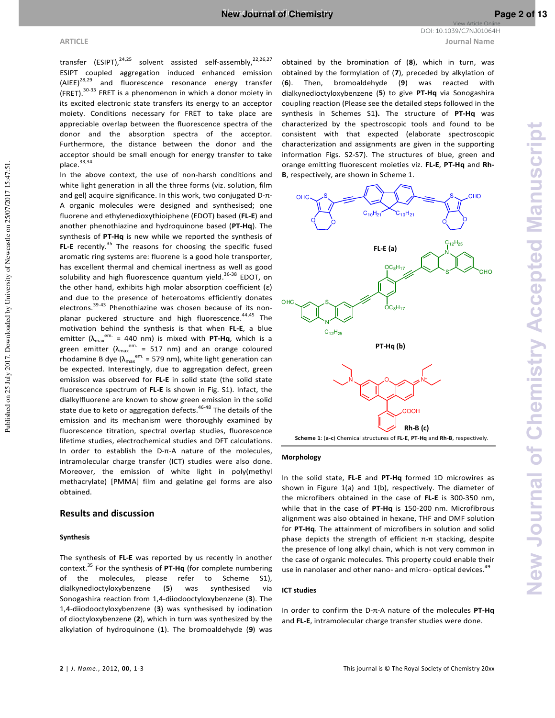**ARTICLE Journal Name** View Article Online DOI: 10.1039/C7NJ01064H

transfer (ESIPT), $24,25$  solvent assisted self-assembly, $22,26,27$ ESIPT coupled aggregation induced enhanced emission<br>(AIEE)<sup>28,29</sup> and fluorescence resonance energy transfer and fluorescence resonance energy transfer (FRET).30-33 FRET is a phenomenon in which a donor moiety in its excited electronic state transfers its energy to an acceptor moiety. Conditions necessary for FRET to take place are appreciable overlap between the fluorescence spectra of the donor and the absorption spectra of the acceptor. Furthermore, the distance between the donor and the acceptor should be small enough for energy transfer to take place.<sup>33,34</sup>

In the above context, the use of non-harsh conditions and white light generation in all the three forms (viz. solution, film and gel) acquire significance. In this work, two conjugated D-π-A organic molecules were designed and synthesised; one fluorene and ethylenedioxythioiphene (EDOT) based (**FL-E**) and another phenothiazine and hydroquinone based (**PT-Hq**). The synthesis of **PT-Hq** is new while we reported the synthesis of FL-E recently.<sup>35</sup> The reasons for choosing the specific fused aromatic ring systems are: fluorene is a good hole transporter, has excellent thermal and chemical inertness as well as good solubility and high fluorescence quantum yield.<sup>36-38</sup> EDOT, on the other hand, exhibits high molar absorption coefficient (ε) and due to the presence of heteroatoms efficiently donates electrons.<sup>39-43</sup> Phenothiazine was chosen because of its nonplanar puckered structure and high fluorescence.<sup>44,45</sup> The motivation behind the synthesis is that when **FL-E**, a blue emitter ( $\lambda_{\text{max}}^{e^{em.}}$  = 440 nm) is mixed with **PT-Hq**, which is a green emitter ( $\lambda_{\text{max}}^{\text{em.}}$  = 517 nm) and an orange coloured rhodamine B dye ( $\lambda_{\text{max}}^{\text{em.}}$  = 579 nm), white light generation can be expected. Interestingly, due to aggregation defect, green emission was observed for **FL-E** in solid state (the solid state fluorescence spectrum of **FL-E** is shown in Fig. S1). Infact, the dialkylfluorene are known to show green emission in the solid state due to keto or aggregation defects.<sup>46-48</sup> The details of the emission and its mechanism were thoroughly examined by fluorescence titration, spectral overlap studies, fluorescence lifetime studies, electrochemical studies and DFT calculations. In order to establish the D-π-A nature of the molecules, intramolecular charge transfer (ICT) studies were also done. Moreover, the emission of white light in poly(methyl methacrylate) [PMMA] film and gelatine gel forms are also obtained.

### **Results and discussion**

### **Synthesis**

The synthesis of **FL-E** was reported by us recently in another context.<sup>35</sup> For the synthesis of **PT-Hq** (for complete numbering of the molecules, please refer to Scheme S1), dialkynedioctyloxybenzene (**5**) was synthesised via Sonogashira reaction from 1,4-diiodooctyloxybenzene (**3**). The 1,4-diiodooctyloxybenzene (**3**) was synthesised by iodination of dioctyloxybenzene (**2**), which in turn was synthesized by the alkylation of hydroquinone (**1**). The bromoaldehyde (**9**) was

obtained by the bromination of (**8**), which in turn, was obtained by the formylation of (**7**), preceded by alkylation of (**6**). Then, bromoaldehyde (**9**) was reacted with dialkynedioctyloxybenzene (**5**) to give **PT-Hq** via Sonogashira coupling reaction (Please see the detailed steps followed in the synthesis in Schemes S1**).** The structure of **PT-Hq** was characterized by the spectroscopic tools and found to be consistent with that expected (elaborate spectroscopic characterization and assignments are given in the supporting information Figs. S2-S7). The structures of blue, green and orange emitting fluorescent moieties viz. **FL-E**, **PT-Hq** and **Rh-B**, respectively, are shown in Scheme 1.



### **Morphology**

In the solid state, **FL-E** and **PT-Hq** formed 1D microwires as shown in Figure 1(a) and 1(b), respectively. The diameter of the microfibers obtained in the case of **FL-E** is 300-350 nm, while that in the case of **PT-Hq** is 150-200 nm. Microfibrous alignment was also obtained in hexane, THF and DMF solution for **PT-Hq**. The attainment of microfibers in solution and solid phase depicts the strength of efficient  $π$ -π stacking, despite the presence of long alkyl chain, which is not very common in the case of organic molecules. This property could enable their use in nanolaser and other nano- and micro- optical devices.<sup>49</sup>

### **ICT studies**

In order to confirm the D-π-A nature of the molecules **PT-Hq** and **FL-E**, intramolecular charge transfer studies were done.

Published on 25 July 2017. Downloaded by University of Newcastle on 25/07/2017 15:47:51.

Published on 25 July 2017. Downloaded by University of Newcastle on 25/07/2017 15:47:51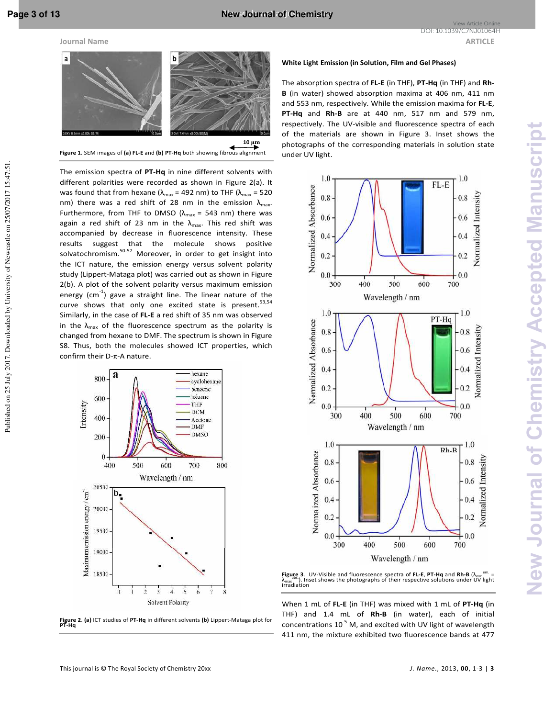Published on 25 July 2017. Downloaded by University of Newcastle on 25/07/2017 15:47:51



**Figure 1**. SEM images of **(a) FL-E** and **(b) PT-Hq** both showing fibrous alignment

The emission spectra of **PT-Hq** in nine different solvents with different polarities were recorded as shown in Figure 2(a). It was found that from hexane ( $\lambda_{\text{max}}$  = 492 nm) to THF ( $\lambda_{\text{max}}$  = 520 nm) there was a red shift of 28 nm in the emission  $\lambda_{\text{max}}$ . Furthermore, from THF to DMSO ( $\lambda_{\text{max}}$  = 543 nm) there was again a red shift of 23 nm in the  $\lambda_{\text{max}}$ . This red shift was accompanied by decrease in fluorescence intensity. These results suggest that the molecule shows positive solvatochromism.50-52 Moreover, in order to get insight into the ICT nature, the emission energy versus solvent polarity study (Lippert-Mataga plot) was carried out as shown in Figure 2(b). A plot of the solvent polarity versus maximum emission energy  $\text{cm}^{-1}$ ) gave a straight line. The linear nature of the curve shows that only one excited state is present.  $53,54$ Similarly, in the case of **FL-E** a red shift of 35 nm was observed in the  $\lambda_{\text{max}}$  of the fluorescence spectrum as the polarity is changed from hexane to DMF. The spectrum is shown in Figure S8. Thus, both the molecules showed ICT properties, which confirm their D-π-A nature.



# **Figure 2**. **(a)** ICT studies of **PT-Hq** in different solvents **(b)** Lippert-Mataga plot for **PT-Hq**

### **White Light Emission (in Solution, Film and Gel Phases)**

The absorption spectra of **FL-E** (in THF), **PT-Hq** (in THF) and **Rh-B** (in water) showed absorption maxima at 406 nm, 411 nm and 553 nm, respectively. While the emission maxima for **FL-E**, **PT-Hq** and **Rh-B** are at 440 nm, 517 nm and 579 nm, respectively. The UV-visible and fluorescence spectra of each of the materials are shown in Figure 3. Inset shows the photographs of the corresponding materials in solution state under UV light.



**Figure 3**. UV-Visible and fluorescence spectra of **FL-E, PT-Hq** and **Rh-B** (λ<sub>exc</sub><sup>em.</sup> =<br>λ<sub>max</sub>. "). Inset shows the photographs of their respective solutions under UV light<br>irradiation

When 1 mL of **FL-E** (in THF) was mixed with 1 mL of **PT-Hq** (in THF) and 1.4 mL of **Rh-B** (in water), each of initial concentrations  $10^{-5}$  M, and excited with UV light of wavelength 411 nm, the mixture exhibited two fluorescence bands at 477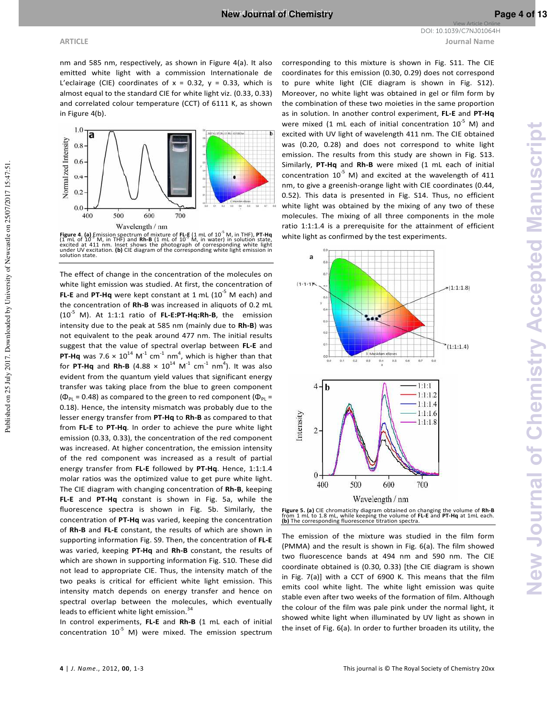**ARTICLE Journal Name** View Article Online DOI: 10.1039/C7NJ01064H

Published on 25 July 2017. Downloaded by University of Newcastle on 25/07/2017 15:47:51.

Published on 25 July 2017. Downloaded by University of Newcastle on 25/07/2017 15:47:51

nm and 585 nm, respectively, as shown in Figure 4(a). It also emitted white light with a commission Internationale de L'eclairage (CIE) coordinates of  $x = 0.32$ ,  $y = 0.33$ , which is almost equal to the standard CIE for white light viz. (0.33, 0.33) and correlated colour temperature (CCT) of 6111 K, as shown in Figure 4(b).



**Figure 4. (a)** Emission spectrum of mixture of **FL-E** (1 mL of 10<sup>-5</sup> M, in THF), PT-Hq (1 mL of 10<sup>-5</sup> M, in THF) and Rh-B (1 mL of 10<sup>-5</sup> M, in THF), PT-Hq excited at 411 nm. Inset shows the photograph of corresponding

The effect of change in the concentration of the molecules on white light emission was studied. At first, the concentration of **FL-E** and **PT-Hq** were kept constant at 1 mL (10<sup>-5</sup> M each) and the concentration of **Rh-B** was increased in aliquots of 0.2 mL (10-5 M). At 1:1:1 ratio of **FL-E:PT-Hq:Rh-B**, the emission intensity due to the peak at 585 nm (mainly due to **Rh-B**) was not equivalent to the peak around 477 nm. The initial results suggest that the value of spectral overlap between **FL-E** and **PT-Hq** was  $7.6 \times 10^{14}$  M<sup>-1</sup> cm<sup>-1</sup> nm<sup>4</sup>, which is higher than that for **PT-Hq** and **Rh-B** (4.88  $\times$   $10^{14}$  M<sup>-1</sup> cm<sup>-1</sup> nm<sup>4</sup>). It was also evident from the quantum yield values that significant energy transfer was taking place from the blue to green component ( $\Phi_{PL}$  = 0.48) as compared to the green to red component ( $\Phi_{PL}$  = 0.18). Hence, the intensity mismatch was probably due to the lesser energy transfer from **PT-Hq** to **Rh-B** as compared to that from **FL-E** to **PT-Hq**. In order to achieve the pure white light emission (0.33, 0.33), the concentration of the red component was increased. At higher concentration, the emission intensity of the red component was increased as a result of partial energy transfer from **FL-E** followed by **PT-Hq**. Hence, 1:1:1.4 molar ratios was the optimized value to get pure white light. The CIE diagram with changing concentration of **Rh-B**, keeping **FL-E** and **PT-Hq** constant is shown in Fig. 5a, while the fluorescence spectra is shown in Fig. 5b. Similarly, the concentration of **PT-Hq** was varied, keeping the concentration of **Rh-B** and **FL-E** constant, the results of which are shown in supporting information Fig. S9. Then, the concentration of **FL-E** was varied, keeping **PT-Hq** and **Rh-B** constant, the results of which are shown in supporting information Fig. S10. These did not lead to appropriate CIE. Thus, the intensity match of the two peaks is critical for efficient white light emission. This intensity match depends on energy transfer and hence on spectral overlap between the molecules, which eventually leads to efficient white light emission.<sup>34</sup>

In control experiments, **FL-E** and **Rh-B** (1 mL each of initial concentration  $10^{-5}$  M) were mixed. The emission spectrum

corresponding to this mixture is shown in Fig. S11. The CIE coordinates for this emission (0.30, 0.29) does not correspond to pure white light (CIE diagram is shown in Fig. S12). Moreover, no white light was obtained in gel or film form by the combination of these two moieties in the same proportion as in solution. In another control experiment, **FL-E** and **PT-Hq** were mixed (1 mL each of initial concentration  $10^{-5}$  M) and excited with UV light of wavelength 411 nm. The CIE obtained was (0.20, 0.28) and does not correspond to white light emission. The results from this study are shown in Fig. S13. Similarly, **PT-Hq** and **Rh-B** were mixed (1 mL each of initial concentration  $10^{-5}$  M) and excited at the wavelength of 411 nm, to give a greenish-orange light with CIE coordinates (0.44, 0.52). This data is presented in Fig. S14. Thus, no efficient white light was obtained by the mixing of any two of these molecules. The mixing of all three components in the mole ratio 1:1:1.4 is a prerequisite for the attainment of efficient white light as confirmed by the test experiments.





The emission of the mixture was studied in the film form (PMMA) and the result is shown in Fig. 6(a). The film showed two fluorescence bands at 494 nm and 590 nm. The CIE coordinate obtained is (0.30, 0.33) [the CIE diagram is shown in Fig. 7(a)] with a CCT of 6900 K. This means that the film emits cool white light. The white light emission was quite stable even after two weeks of the formation of film. Although the colour of the film was pale pink under the normal light, it showed white light when illuminated by UV light as shown in the inset of Fig. 6(a). In order to further broaden its utility, the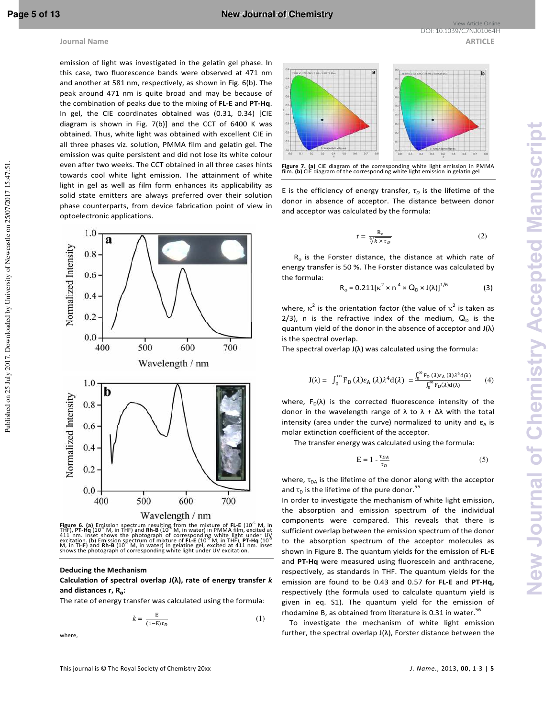Published on 25 July 2017. Downloaded by University of Newcastle on 25/07/2017 15:47:51

### **Journal Name ARTICLE ARTICLE**

emission of light was investigated in the gelatin gel phase. In this case, two fluorescence bands were observed at 471 nm and another at 581 nm, respectively, as shown in Fig. 6(b). The peak around 471 nm is quite broad and may be because of the combination of peaks due to the mixing of **FL-E** and **PT-Hq**. In gel, the CIE coordinates obtained was (0.31, 0.34) [CIE diagram is shown in Fig. 7(b)] and the CCT of 6400 K was obtained. Thus, white light was obtained with excellent CIE in all three phases viz. solution, PMMA film and gelatin gel. The emission was quite persistent and did not lose its white colour even after two weeks. The CCT obtained in all three cases hints towards cool white light emission. The attainment of white light in gel as well as film form enhances its applicability as solid state emitters are always preferred over their solution phase counterparts, from device fabrication point of view in optoelectronic applications.



**Figure 6. (a)** Emission spectrum resulting from the mixture of **FL-E** (10<sup>-5</sup> M, in THF) (10<sup>-3</sup> M, in THF) and **Rh-B** (10<sup>-5</sup> M, in water) in PMMA film, excited at 411 nm. Inset shows the photograph of corresponding whi

### **Deducing the Mechanism**

**Calculation of spectral overlap J(λ), rate of energy transfer** *k*  **and distances r, R**ο**:** 

The rate of energy transfer was calculated using the formula:

$$
k = \frac{E}{(1 - E)\tau_D} \tag{1}
$$

where,



E is the efficiency of energy transfer,  $\tau_D$  is the lifetime of the donor in absence of acceptor. The distance between donor and acceptor was calculated by the formula:

$$
r = \frac{R_o}{\sqrt[6]{k \times \tau_D}}
$$
 (2)

View Article Online DOI: 10.1039/C7NJ01064H

 $R_0$  is the Forster distance, the distance at which rate of energy transfer is 50 %. The Forster distance was calculated by the formula:

$$
R_0 = 0.211[k^2 \times n^{-4} \times Q_D \times J(\lambda)]^{1/6}
$$
 (3)

where,  $\kappa^2$  is the orientation factor (the value of  $\kappa^2$  is taken as 2/3), n is the refractive index of the medium,  $Q_D$  is the quantum yield of the donor in the absence of acceptor and J(λ) is the spectral overlap.

The spectral overlap  $J(\lambda)$  was calculated using the formula:

$$
J(\lambda) = \int_0^\infty F_D(\lambda) \varepsilon_A(\lambda) \lambda^4 d(\lambda) = \frac{\int_0^\infty F_D(\lambda) \varepsilon_A(\lambda) \lambda^4 d(\lambda)}{\int_0^\infty F_D(\lambda) d(\lambda)} \qquad (4)
$$

where,  $F_D(\lambda)$  is the corrected fluorescence intensity of the donor in the wavelength range of  $\lambda$  to  $\lambda + Δλ$  with the total intensity (area under the curve) normalized to unity and  $\varepsilon_A$  is molar extinction coefficient of the acceptor.

The transfer energy was calculated using the formula:

$$
E = 1 - \frac{\tau_{DA}}{\tau_D} \tag{5}
$$

where,  $\tau_{DA}$  is the lifetime of the donor along with the acceptor and  $\tau_{\scriptscriptstyle \text{D}}$  is the lifetime of the pure donor.<sup>55</sup>

In order to investigate the mechanism of white light emission, the absorption and emission spectrum of the individual components were compared. This reveals that there is sufficient overlap between the emission spectrum of the donor to the absorption spectrum of the acceptor molecules as shown in Figure 8. The quantum yields for the emission of **FL-E**  and **PT-Hq** were measured using fluorescein and anthracene, respectively, as standards in THF. The quantum yields for the emission are found to be 0.43 and 0.57 for **FL-E** and **PT-Hq,**  respectively (the formula used to calculate quantum yield is given in eq. S1). The quantum yield for the emission of rhodamine B, as obtained from literature is 0.31 in water. $56$ 

 To investigate the mechanism of white light emission further, the spectral overlap J( $\lambda$ ), Forster distance between the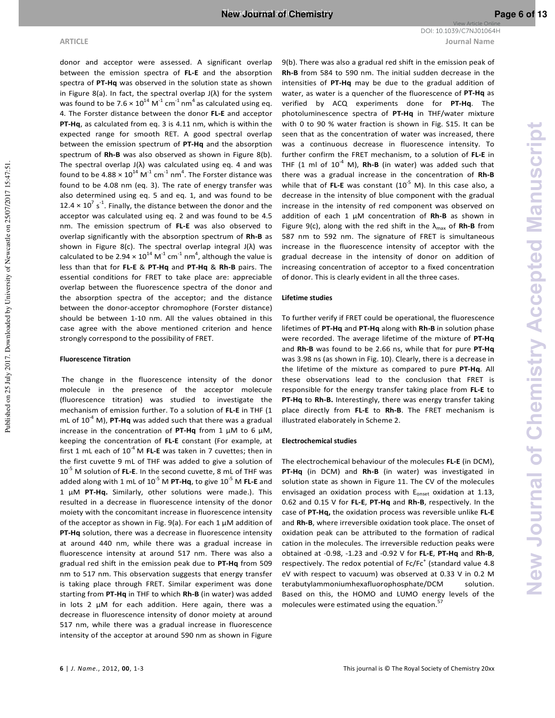**ARTICLE Journal Name** View Article Online DOI: 10.1039/C7NJ01064H

donor and acceptor were assessed. A significant overlap between the emission spectra of **FL-E** and the absorption spectra of **PT-Hq** was observed in the solution state as shown in Figure 8(a). In fact, the spectral overlap  $J(\lambda)$  for the system was found to be 7.6  $\times$  10<sup>14</sup> M<sup>-1</sup> cm<sup>-1</sup> nm<sup>4</sup> as calculated using eq. 4. The Forster distance between the donor **FL-E** and acceptor **PT-Hq**, as calculated from eq. 3 is 4.11 nm, which is within the expected range for smooth RET. A good spectral overlap between the emission spectrum of **PT-Hq** and the absorption spectrum of **Rh-B** was also observed as shown in Figure 8(b). The spectral overlap  $J(\lambda)$  was calculated using eq. 4 and was found to be  $4.88 \times 10^{14}$  M<sup>-1</sup> cm<sup>-1</sup> nm<sup>4</sup>. The Forster distance was found to be 4.08 nm (eq. 3). The rate of energy transfer was also determined using eq. 5 and eq. 1, and was found to be 12.4  $\times$  10<sup>7</sup> s<sup>-1</sup>. Finally, the distance between the donor and the acceptor was calculated using eq. 2 and was found to be 4.5 nm. The emission spectrum of **FL-E** was also observed to overlap significantly with the absorption spectrum of **Rh-B** as shown in Figure 8(c). The spectral overlap integral J(λ) was calculated to be 2.94  $\times$  10<sup>14</sup> M<sup>-1</sup> cm<sup>-1</sup> nm<sup>4</sup>, although the value is less than that for **FL-E** & **PT-Hq** and **PT-Hq** & **Rh-B** pairs. The essential conditions for FRET to take place are: appreciable overlap between the fluorescence spectra of the donor and the absorption spectra of the acceptor; and the distance between the donor-acceptor chromophore (Forster distance) should be between 1-10 nm. All the values obtained in this case agree with the above mentioned criterion and hence strongly correspond to the possibility of FRET.

### **Fluorescence Titration**

 The change in the fluorescence intensity of the donor molecule in the presence of the acceptor molecule (fluorescence titration) was studied to investigate the mechanism of emission further. To a solution of **FL-E** in THF (1 mL of  $10^{-4}$  M), **PT-Hq** was added such that there was a gradual increase in the concentration of **PT-Hq** from 1 μM to 6 μM, keeping the concentration of **FL-E** constant (For example, at first 1 mL each of  $10^{-4}$  M FL-E was taken in 7 cuvettes; then in the first cuvette 9 mL of THF was added to give a solution of 10-5 M solution of **FL-E**. In the second cuvette, 8 mL of THF was added along with 1 mL of 10<sup>-5</sup> M **PT-Hq**, to give 10<sup>-5</sup> M **FL-E** and 1 μM **PT-Hq.** Similarly, other solutions were made.). This resulted in a decrease in fluorescence intensity of the donor moiety with the concomitant increase in fluorescence intensity of the acceptor as shown in Fig. 9(a). For each 1 μM addition of **PT-Hq** solution, there was a decrease in fluorescence intensity at around 440 nm, while there was a gradual increase in fluorescence intensity at around 517 nm. There was also a gradual red shift in the emission peak due to **PT-Hq** from 509 nm to 517 nm. This observation suggests that energy transfer is taking place through FRET. Similar experiment was done starting from **PT-Hq** in THF to which **Rh-B** (in water) was added in lots 2 μM for each addition. Here again, there was a decrease in fluorescence intensity of donor moiety at around 517 nm, while there was a gradual increase in fluorescence intensity of the acceptor at around 590 nm as shown in Figure

9(b). There was also a gradual red shift in the emission peak of **Rh-B** from 584 to 590 nm. The initial sudden decrease in the intensities of **PT-Hq** may be due to the gradual addition of water, as water is a quencher of the fluorescence of **PT-Hq** as verified by ACQ experiments done for **PT-Hq**. The photoluminescence spectra of **PT-Hq** in THF/water mixture with 0 to 90 % water fraction is shown in Fig. S15. It can be seen that as the concentration of water was increased, there was a continuous decrease in fluorescence intensity. To further confirm the FRET mechanism, to a solution of **FL-E** in THF  $(1 \text{ ml of } 10^{-4} \text{ M})$ , **Rh-B** (in water) was added such that there was a gradual increase in the concentration of **Rh-B** while that of FL-E was constant (10<sup>-5</sup> M). In this case also, a decrease in the intensity of blue component with the gradual increase in the intensity of red component was observed on addition of each 1 μM concentration of **Rh-B** as shown in Figure 9(c), along with the red shift in the  $\lambda_{\text{max}}$  of **Rh-B** from 587 nm to 592 nm. The signature of FRET is simultaneous increase in the fluorescence intensity of acceptor with the gradual decrease in the intensity of donor on addition of increasing concentration of acceptor to a fixed concentration of donor. This is clearly evident in all the three cases.

### **Lifetime studies**

To further verify if FRET could be operational, the fluorescence lifetimes of **PT-Hq** and **PT-Hq** along with **Rh-B** in solution phase were recorded. The average lifetime of the mixture of **PT-Hq** and **Rh-B** was found to be 2.66 ns, while that for pure **PT-Hq** was 3.98 ns (as shown in Fig. 10). Clearly, there is a decrease in the lifetime of the mixture as compared to pure **PT-Hq**. All these observations lead to the conclusion that FRET is responsible for the energy transfer taking place from **FL-E** to **PT-Hq** to **Rh-B.** Interestingly, there was energy transfer taking place directly from **FL-E** to **Rh-B**. The FRET mechanism is illustrated elaborately in Scheme 2.

### **Electrochemical studies**

The electrochemical behaviour of the molecules **FL-E** (in DCM), **PT-Hq** (in DCM) and **Rh-B** (in water) was investigated in solution state as shown in Figure 11. The CV of the molecules envisaged an oxidation process with  $E<sub>onset</sub>$  oxidation at 1.13, 0.62 and 0.15 V for **FL-E**, **PT-Hq** and **Rh-B**, respectively. In the case of **PT-Hq,** the oxidation process was reversible unlike **FL-E** and **Rh-B**, where irreversible oxidation took place. The onset of oxidation peak can be attributed to the formation of radical cation in the molecules. The irreversible reduction peaks were obtained at -0.98, -1.23 and -0.92 V for **FL-E**, **PT-Hq** and **Rh-B**, respectively. The redox potential of  $Fc/Fc^*$  (standard value 4.8 eV with respect to vacuum) was observed at 0.33 V in 0.2 M terabutylammoniumhexafluorophosphate/DCM solution. Based on this, the HOMO and LUMO energy levels of the molecules were estimated using the equation. $\frac{5}{3}$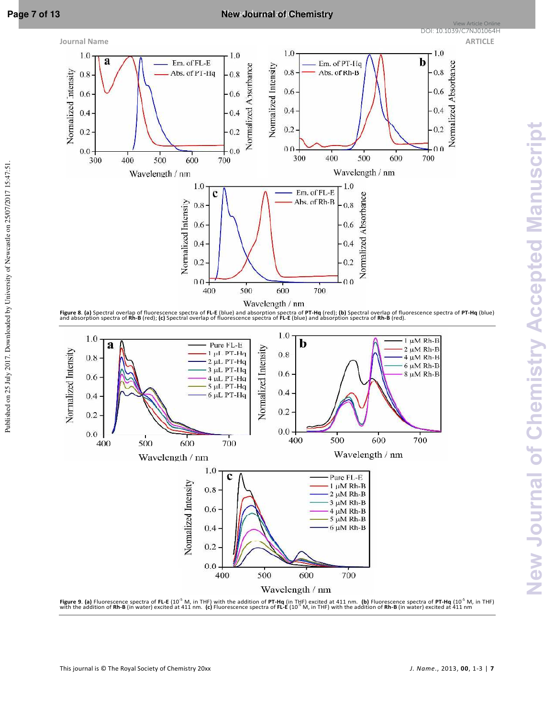Published on 25 July 2017. Downloaded by University of Newcastle on 25/07/2017 15:47:51

## **Page 7 of 13 New Journal of Chemistry**

View Article Online<br><mark>DOI: 10.1039/C7NJ01064H</mark>



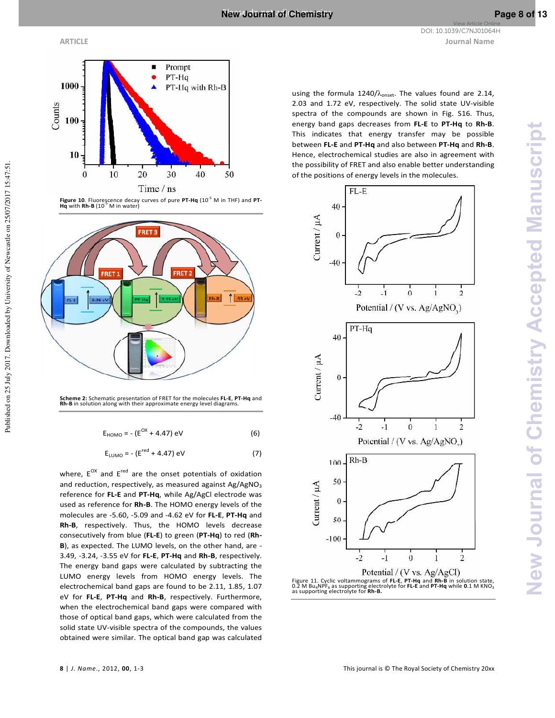Published on 25 July 2017. Downloaded by University of Newcastle on 25/07/2017 15:47:51



**Figure 10***.* Fluorescence decay curves of pure **PT-Hq** (10-5 M in THF) and **PT-Hq** with **Rh-B** (10-5 M in water)



**Scheme 2:** Schematic presentation of FRET for the molecules **FL-E**, **PT-Hq** and **Rh-B** in solution along with their approximate energy level diagrams.

$$
E_{HOMO} = - (E^{OX} + 4.47) \text{ eV}
$$
 (6)

$$
E_{LUMO} = -(E^{red} + 4.47) \text{ eV} \tag{7}
$$

where,  $E^{OX}$  and  $E^{red}$  are the onset potentials of oxidation and reduction, respectively, as measured against  $Ag/AgNO<sub>3</sub>$ reference for **FL-E** and **PT-Hq**, while Ag/AgCl electrode was used as reference for **Rh-B**. The HOMO energy levels of the molecules are -5.60, -5.09 and -4.62 eV for **FL-E**, **PT-Hq** and **Rh-B**, respectively. Thus, the HOMO levels decrease consecutively from blue (**FL-E**) to green (**PT-Hq**) to red (**Rh-B**), as expected. The LUMO levels, on the other hand, are - 3.49, -3.24, -3.55 eV for **FL-E**, **PT-Hq** and **Rh-B**, respectively. The energy band gaps were calculated by subtracting the LUMO energy levels from HOMO energy levels. The electrochemical band gaps are found to be 2.11, 1.85, 1.07 eV for **FL-E**, **PT-Hq** and **Rh-B**, respectively. Furthermore, when the electrochemical band gaps were compared with those of optical band gaps, which were calculated from the solid state UV-visible spectra of the compounds, the values obtained were similar. The optical band gap was calculated

**ARTICLE Journal Name**

using the formula 1240/ $\lambda_{onset}$ . The values found are 2.14, 2.03 and 1.72 eV, respectively. The solid state UV-visible spectra of the compounds are shown in Fig. S16. Thus, energy band gaps decreases from **FL-E** to **PT-Hq** to **Rh-B**. This indicates that energy transfer may be possible between **FL-E** and **PT-Hq** and also between **PT-Hq** and **Rh-B**. Hence, electrochemical studies are also in agreement with the possibility of FRET and also enable better understanding of the positions of energy levels in the molecules.



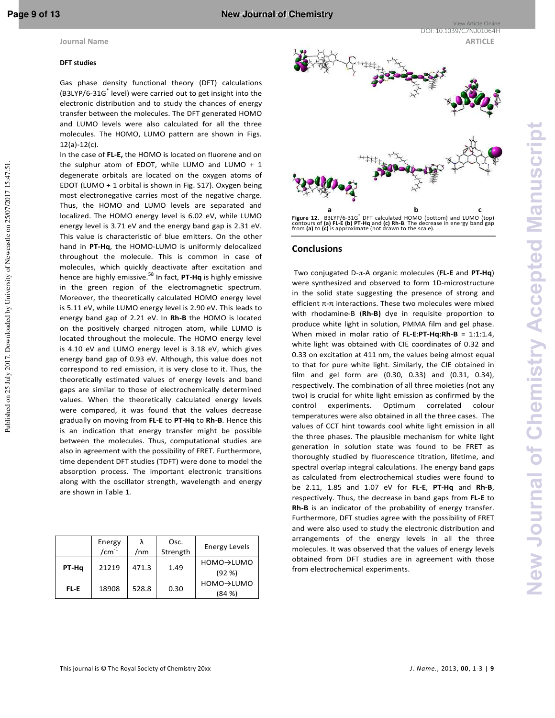Published on 25 July 2017. Downloaded by University of Newcastle on 25/07/2017 15:47:51

### **DFT studies**

Gas phase density functional theory (DFT) calculations (B3LYP/6-31G<sup>\*</sup> level) were carried out to get insight into the electronic distribution and to study the chances of energy transfer between the molecules. The DFT generated HOMO and LUMO levels were also calculated for all the three molecules. The HOMO, LUMO pattern are shown in Figs. 12(a)-12(c).

In the case of **FL-E,** the HOMO is located on fluorene and on the sulphur atom of EDOT, while LUMO and LUMO + 1 degenerate orbitals are located on the oxygen atoms of EDOT (LUMO + 1 orbital is shown in Fig. S17). Oxygen being most electronegative carries most of the negative charge. Thus, the HOMO and LUMO levels are separated and localized. The HOMO energy level is 6.02 eV, while LUMO energy level is 3.71 eV and the energy band gap is 2.31 eV. This value is characteristic of blue emitters. On the other hand in **PT-Hq**, the HOMO-LUMO is uniformly delocalized throughout the molecule. This is common in case of molecules, which quickly deactivate after excitation and hence are highly emissive.<sup>58</sup> In fact, **PT-Hq** is highly emissive in the green region of the electromagnetic spectrum. Moreover, the theoretically calculated HOMO energy level is 5.11 eV, while LUMO energy level is 2.90 eV. This leads to energy band gap of 2.21 eV. In **Rh-B** the HOMO is located on the positively charged nitrogen atom, while LUMO is located throughout the molecule. The HOMO energy level is 4.10 eV and LUMO energy level is 3.18 eV, which gives energy band gap of 0.93 eV. Although, this value does not correspond to red emission, it is very close to it. Thus, the theoretically estimated values of energy levels and band gaps are similar to those of electrochemically determined values. When the theoretically calculated energy levels were compared, it was found that the values decrease gradually on moving from **FL-E** to **PT-Hq** to **Rh-B**. Hence this is an indication that energy transfer might be possible between the molecules. Thus, computational studies are also in agreement with the possibility of FRET. Furthermore, time dependent DFT studies (TDFT) were done to model the absorption process. The important electronic transitions along with the oscillator strength, wavelength and energy are shown in Table 1.

|       | Energy<br>/cm $^{-1}$ | /nm   | Osc.<br>Strength | <b>Energy Levels</b> |
|-------|-----------------------|-------|------------------|----------------------|
| PT-Hq | 21219                 | 471.3 | 1.49             | HOMO→LUMO<br>(92 %)  |
| FL-E  | 18908                 | 528.8 | 0.30             | HOMO→LUMO<br>(84%    |



### **Conclusions**

 Two conjugated D-π-A organic molecules (**FL-E** and **PT-Hq**) were synthesized and observed to form 1D-microstructure in the solid state suggesting the presence of strong and efficient π-π interactions. These two molecules were mixed with rhodamine-B (**Rh-B)** dye in requisite proportion to produce white light in solution, PMMA film and gel phase. When mixed in molar ratio of **FL-E**:**PT-Hq**:**Rh-B** = 1:1:1.4, white light was obtained with CIE coordinates of 0.32 and 0.33 on excitation at 411 nm, the values being almost equal to that for pure white light. Similarly, the CIE obtained in film and gel form are (0.30, 0.33) and (0.31, 0.34), respectively. The combination of all three moieties (not any two) is crucial for white light emission as confirmed by the control experiments. Optimum correlated colour temperatures were also obtained in all the three cases. The values of CCT hint towards cool white light emission in all the three phases. The plausible mechanism for white light generation in solution state was found to be FRET as thoroughly studied by fluorescence titration, lifetime, and spectral overlap integral calculations. The energy band gaps as calculated from electrochemical studies were found to be 2.11, 1.85 and 1.07 eV for **FL-E**, **PT-Hq** and **Rh-B**, respectively. Thus, the decrease in band gaps from **FL-E** to **Rh-B** is an indicator of the probability of energy transfer. Furthermore, DFT studies agree with the possibility of FRET and were also used to study the electronic distribution and arrangements of the energy levels in all the three molecules. It was observed that the values of energy levels obtained from DFT studies are in agreement with those from electrochemical experiments.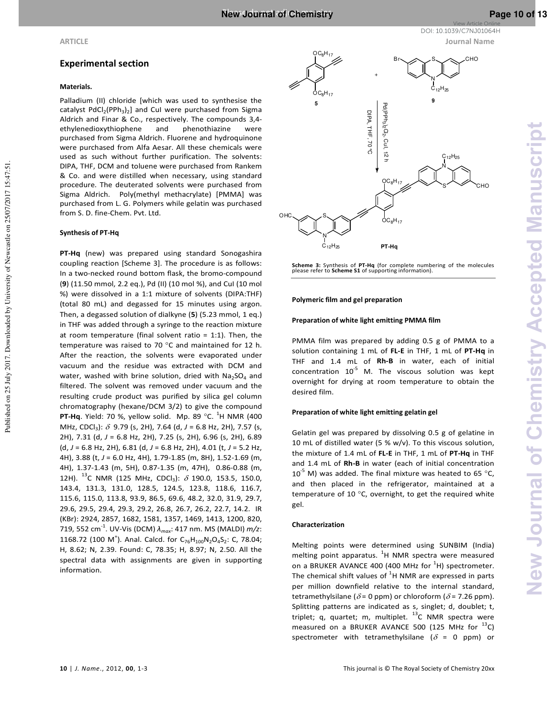

View Article Online

### **Experimental section**

### **Materials.**

Palladium (II) chloride [which was used to synthesise the catalyst  $PdCl<sub>2</sub>(PPh<sub>3</sub>)<sub>2</sub>$ ] and CuI were purchased from Sigma Aldrich and Finar & Co., respectively. The compounds 3,4 ethylenedioxythiophene and phenothiazine were purchased from Sigma Aldrich. Fluorene and hydroquinone were purchased from Alfa Aesar. All these chemicals were used as such without further purification. The solvents: DIPA, THF, DCM and toluene were purchased from Rankem & Co. and were distilled when necessary, using standard procedure. The deuterated solvents were purchased from Sigma Aldrich. Poly(methyl methacrylate) [PMMA] was purchased from L. G. Polymers while gelatin was purchased from S. D. fine-Chem. Pvt. Ltd.

### **Synthesis of PT-Hq**

Published on 25 July 2017. Downloaded by University of Newcastle on 25/07/2017 15:47:51.

Published on 25 July 2017. Downloaded by University of Newcastle on 25/07/2017 15:47:51

**PT-Hq** (new) was prepared using standard Sonogashira coupling reaction [Scheme 3]. The procedure is as follows: In a two-necked round bottom flask, the bromo-compound (**9**) (11.50 mmol, 2.2 eq.), Pd (II) (10 mol %), and CuI (10 mol %) were dissolved in a 1:1 mixture of solvents (DIPA:THF) (total 80 mL) and degassed for 15 minutes using argon. Then, a degassed solution of dialkyne (**5**) (5.23 mmol, 1 eq.) in THF was added through a syringe to the reaction mixture at room temperature (final solvent ratio =  $1:1$ ). Then, the temperature was raised to 70 °C and maintained for 12 h. After the reaction, the solvents were evaporated under vacuum and the residue was extracted with DCM and water, washed with brine solution, dried with  $Na<sub>2</sub>SO<sub>4</sub>$  and filtered. The solvent was removed under vacuum and the resulting crude product was purified by silica gel column chromatography (hexane/DCM 3/2) to give the compound **PT-Hq**. Yield: 70 %, yellow solid. Mp. 89 °C. <sup>1</sup>H NMR (400 MHz, CDCl<sub>3</sub>): δ 9.79 (s, 2H), 7.64 (d, J = 6.8 Hz, 2H), 7.57 (s, 2H), 7.31 (d, *J* = 6.8 Hz, 2H), 7.25 (s, 2H), 6.96 (s, 2H), 6.89 (d, *J* = 6.8 Hz, 2H), 6.81 (d, *J* = 6.8 Hz, 2H), 4.01 (t, *J* = 5.2 Hz, 4H), 3.88 (t, *J* = 6.0 Hz, 4H), 1.79-1.85 (m, 8H), 1.52-1.69 (m, 4H), 1.37-1.43 (m, 5H), 0.87-1.35 (m, 47H), 0.86-0.88 (m, 12H).  $^{13}$ C NMR (125 MHz, CDCl<sub>3</sub>):  $\delta$  190.0, 153.5, 150.0, 143.4, 131.3, 131.0, 128.5, 124.5, 123.8, 118.6, 116.7, 115.6, 115.0, 113.8, 93.9, 86.5, 69.6, 48.2, 32.0, 31.9, 29.7, 29.6, 29.5, 29.4, 29.3, 29.2, 26.8, 26.7, 26.2, 22.7, 14.2. IR (KBr): 2924, 2857, 1682, 1581, 1357, 1469, 1413, 1200, 820, 719, 552 cm-1. UV-Vis (DCM) *λmax*: 417 nm. MS (MALDI) *m/z*: 1168.72 (100 M<sup>+</sup>). Anal. Calcd. for  $C_{76}H_{100}N_2O_4S_2$ : C, 78.04; H, 8.62; N, 2.39. Found: C, 78.35; H, 8.97; N, 2.50. All the spectral data with assignments are given in supporting information.



**Scheme 3:** Synthesis of **PT-Hq** (for complete numbering of the molecules please refer to **Scheme S1** of supporting information).

### **Polymeric film and gel preparation**

### **Preparation of white light emitting PMMA film**

PMMA film was prepared by adding 0.5 g of PMMA to a solution containing 1 mL of **FL-E** in THF, 1 mL of **PT-Hq** in THF and 1.4 mL of **Rh-B** in water, each of initial concentration  $10^{-5}$  M. The viscous solution was kept overnight for drying at room temperature to obtain the desired film.

### **Preparation of white light emitting gelatin gel**

Gelatin gel was prepared by dissolving 0.5 g of gelatine in 10 mL of distilled water (5 % w/v). To this viscous solution, the mixture of 1.4 mL of **FL-E** in THF, 1 mL of **PT-Hq** in THF and 1.4 mL of **Rh-B** in water (each of initial concentration  $10^{-5}$  M) was added. The final mixture was heated to 65 °C, and then placed in the refrigerator, maintained at a temperature of 10 °C, overnight, to get the required white gel.

### **Characterization**

Melting points were determined using SUNBIM (India) melting point apparatus.  ${}^{1}$ H NMR spectra were measured on a BRUKER AVANCE 400 (400 MHz for  $^1$ H) spectrometer. The chemical shift values of  ${}^{1}$ H NMR are expressed in parts per million downfield relative to the internal standard, tetramethylsilane ( $\delta$  = 0 ppm) or chloroform ( $\delta$  = 7.26 ppm). Splitting patterns are indicated as s, singlet; d, doublet; t, triplet; q, quartet; m, multiplet.  $^{13}$ C NMR spectra were measured on a BRUKER AVANCE 500 (125 MHz for  $^{13}$ C) spectrometer with tetramethylsilane ( $\delta$  = 0 ppm) or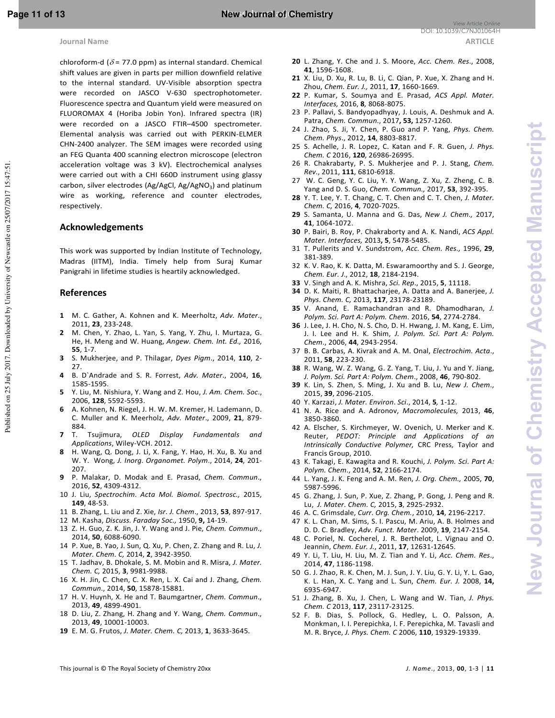chloroform-d ( $\delta$  = 77.0 ppm) as internal standard. Chemical shift values are given in parts per million downfield relative to the internal standard. UV-Visible absorption spectra were recorded on JASCO V-630 spectrophotometer. Fluorescence spectra and Quantum yield were measured on FLUOROMAX 4 (Horiba Jobin Yon). Infrared spectra (IR) were recorded on a JASCO FTIR–4500 spectrometer. Elemental analysis was carried out with PERKIN-ELMER CHN-2400 analyzer. The SEM images were recorded using an FEG Quanta 400 scanning electron microscope (electron acceleration voltage was 3 kV). Electrochemical analyses were carried out with a CHI 660D instrument using glassy carbon, silver electrodes (Ag/AgCl, Ag/AgNO<sub>3</sub>) and platinum wire as working, reference and counter electrodes, respectively.

### **Acknowledgements**

This work was supported by Indian Institute of Technology, Madras (IITM), India. Timely help from Suraj Kumar Panigrahi in lifetime studies is heartily acknowledged.

### **References**

Published on 25 July 2017. Downloaded by University of Newcastle on 25/07/2017 15:47:51.

Published on 25 July 2017. Downloaded by University of Newcastle on 25/07/2017 15:47:51

- **1** M. C. Gather, A. Kohnen and K. Meerholtz, *Adv. Mater*., 2011, **23**, 233-248.
- **2** M. Chen, Y. Zhao, L. Yan, S. Yang, Y. Zhu, I. Murtaza, G. He, H. Meng and W. Huang, *Angew. Chem. Int. Ed.,* 2016, **55**, 1-7.
- **3** S. Mukherjee, and P. Thilagar, *Dyes Pigm*., 2014, **110**, 2- 27.
- **4** B. D`Andrade and S. R. Forrest, *Adv. Mater*., 2004, **16**, 1585-1595.
- **5** Y. Liu, M. Nishiura, Y. Wang and Z. Hou, *J. Am. Chem. Soc*., 2006, **128**, 5592-5593.
- **6** A. Kohnen, N. Riegel, J. H. W. M. Kremer, H. Lademann, D. C. Muller and K. Meerholz, *Adv. Mater*., 2009, **21**, 879- 884.
- **7** T. Tsujimura, *OLED Display Fundamentals and Applications*, Wiley-VCH. 2012.
- **8** H. Wang, Q. Dong, J. Li, X. Fang, Y. Hao, H. Xu, B. Xu and W. Y. Wong, *J. Inorg. Organomet. Polym*., 2014, **24**, 201- 207.
- **9** P. Malakar, D. Modak and E. Prasad, *Chem. Commun*., 2016, **52**, 4309-4312.
- 10 J. Liu, *Spectrochim. Acta Mol. Biomol. Spectrosc.,* 2015, **149**, 48-53.
- 11 B. Zhang, L. Liu and Z. Xie, *Isr. J. Chem*., 2013, **53**, 897-917.
- 12 M. Kasha, *Discuss. Faraday Soc.,* 1950, **9,** 14-19.
- 13 Z. H. Guo, Z. K. Jin, J. Y. Wang and J. Pie, *Chem. Commun*., 2014, **50**, 6088-6090.
- 14 P. Xue, B. Yao, J. Sun, Q. Xu, P. Chen, Z. Zhang and R. Lu, *J. Mater. Chem. C,* 2014, **2**, 3942-3950.
- 15 T. Jadhav, B. Dhokale, S. M. Mobin and R. Misra, *J. Mater. Chem. C,* 2015, **3**, 9981-9988.
- 16 X. H. Jin, C. Chen, C. X. Ren, L. X. Cai and J. Zhang, *Chem. Commun*., 2014, **50**, 15878-15881.
- 17 H. V. Huynh, X. He and T. Baumgartner, *Chem. Commun*., 2013, **49**, 4899-4901.
- 18 D. Liu, Z. Zhang, H. Zhang and Y. Wang, *Chem. Commun*., 2013, **49**, 10001-10003.
- **19** E. M. G. Frutos, *J. Mater. Chem. C,* 2013, **1**, 3633-3645.
- **20** L. Zhang, Y. Che and J. S. Moore, *Acc. Chem. Res*., 2008, **41**, 1596-1608.
- **21** X. Liu, D. Xu, R. Lu, B. Li, C. Qian, P. Xue, X. Zhang and H. Zhou, *Chem. Eur. J.,* 2011, **17**, 1660-1669.
- **22** P. Kumar, S. Soumya and E. Prasad, *ACS Appl. Mater. Interfaces,* 2016, **8***,* 8068-8075.
- 23 P. Pallavi, S. Bandyopadhyay, J. Louis, A. Deshmuk and A. Patra, *Chem. Commun*., 2017**, 53,** 1257-1260.
- 24 J. Zhao, S. Ji, Y. Chen, P. Guo and P. Yang, *Phys. Chem. Chem. Phys*., 2012, **14**, 8803-8817.
- 25 S. Achelle, J. R. Lopez, C. Katan and F. R. Guen, *J. Phys. Chem. C* 2016, **120**, 26986-26995.
- 26 R. Chakrabarty, P. S. Mukherjee and P. J. Stang, *Chem. Rev*., 2011, **111**, 6810-6918.
- 27 W. C. Geng, Y. C. Liu, Y. Y. Wang, Z. Xu, Z. Zheng, C. B. Yang and D. S. Guo, *Chem. Commun.,* 2017, **53**, 392-395.
- **28** Y. T. Lee, Y. T. Chang, C. T. Chen and C. T. Chen, *J. Mater. Chem. C,* 2016, **4**, 7020-7025.
- **29** S. Samanta, U. Manna and G. Das, *New J. Chem.,* 2017, **41**, 1064-1072.
- **30** P. Bairi, B. Roy, P. Chakraborty and A. K. Nandi, *ACS Appl. Mater. Interfaces,* 2013**, 5**, 5478-5485.
- 31 T. Pullerits and V. Sundstrom, *Acc. Chem. Res.,* 1996, **29**, 381-389.
- 32 K. V. Rao, K. K. Datta, M. Eswaramoorthy and S. J. George, *Chem. Eur. J*., 2012, **18**, 2184-2194.
- **33** V. Singh and A. K. Mishra, *Sci. Rep*., 2015, **5**, 11118.
- **34** D. K. Maiti, R. Bhattacharjee, A. Datta and A. Banerjee, *J. Phys. Chem. C,* 2013, **117**, 23178-23189.
- **35** V. Anand, E. Ramachandran and R. Dhamodharan, *J. Polym. Sci. Part A: Polym. Chem.* 2016, **54**, 2774-2784.
- **36** J. Lee, J. H. Cho, N. S. Cho, D. H. Hwang, J. M. Kang, E. Lim, J. I. Lee and H. K. Shim, *J. Polym. Sci. Part A: Polym. Chem*., 2006, **44**, 2943-2954.
- 37 B. B. Carbas, A. Kivrak and A. M. Onal, *Electrochim. Acta*., 2011, **58**, 223-230.
- **38** R. Wang, W. Z. Wang, G. Z. Yang, T. Liu, J. Yu and Y. Jiang, *J. Polym. Sci. Part A: Polym. Chem*., 2008, **46**, 790-802.
- **39** K. Lin, S. Zhen, S. Ming, J. Xu and B. Lu, *New J. Chem*., 2015, **39**, 2096-2105.
- 40 Y. Karzazi, *J. Mater. Environ*. *Sci*., 2014, **5***,* 1-12.
- 41 N. A. Rice and A. Adronov, *Macromolecules,* 2013, **46**, 3850-3860.
- 42 A. Elscher, S. Kirchmeyer, W. Ovenich, U. Merker and K. Reuter, *PEDOT: Principle and Applications of an Intrinsically Conductive Polymer,* CRC Press*,* Taylor and Francis Group, 2010.
- 43 K. Takagi, E. Kawagita and R. Kouchi, *J. Polym. Sci. Part A: Polym. Chem*., 2014, **52**, 2166-2174.
- 44 L. Yang, J. K. Feng and A. M. Ren, *J. Org. Chem.,* 2005, **70**, 5987-5996.
- 45 G. Zhang, J. Sun, P. Xue, Z. Zhang, P. Gong, J. Peng and R. Lu, *J. Mater. Chem. C,* 2015, **3**, 2925-2932.
- 46 A. C. Grimsdale, *Curr. Org. Chem.*, 2010, **14**, 2196-2217.
- K. L. Chan, M. Sims, S. I. Pascu, M. Ariu, A. B. Holmes and D. D. C. Bradley, *Adv. Funct. Mater*. 2009, **19**, 2147-2154.
- 48 C. Poriel, N. Cocherel, J. R. Berthelot, L. Vignau and O. Jeannin, *Chem. Eur. J.*, 2011, **17**, 12631-12645.
- 49 Y. Li, T. Liu, H. Liu, M. Z. Tian and Y. Li, *Acc. Chem. Res*., 2014, **47**, 1186-1198.
- 50 G. J. Zhao, R. K. Chen, M. J. Sun, J. Y. Liu, G. Y. Li, Y. L. Gao, K. L. Han, X. C. Yang and L. Sun, *Chem. Eur. J.* 2008, **14,** 6935-6947.
- 51 J. Zhang, B. Xu, J. Chen, L. Wang and W. Tian, *J. Phys. Chem. C* 2013, **117**, 23117-23125.
- 52 F. B. Dias, S. Pollock, G. Hedley, L. O. Palsson, A. Monkman, I. I. Perepichka, I. F. Perepichka, M. Tavasli and M. R. Bryce, *J. Phys. Chem. C* 2006, **110**, 19329-19339.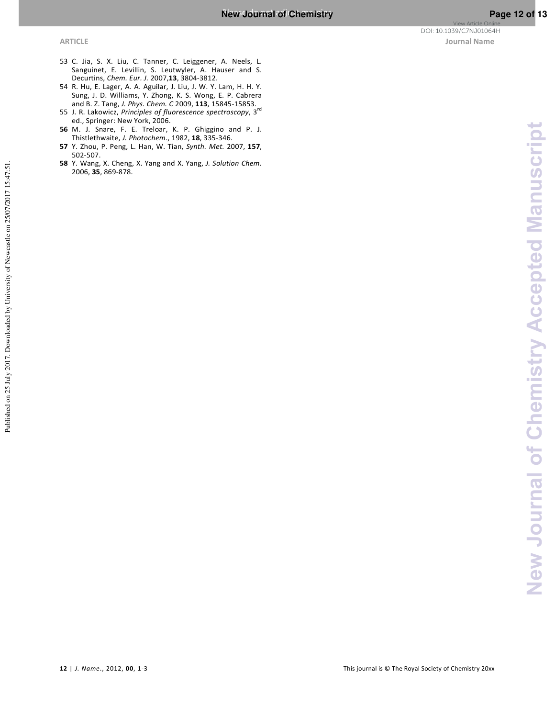- 53 C. Jia, S. X. Liu, C. Tanner, C. Leiggener, A. Neels, L. Sanguinet, E. Levillin, S. Leutwyler, A. Hauser and S. Decurtins, *Chem. Eur. J.* 2007,**13**, 3804-3812.
- 54 R. Hu, E. Lager, A. A. Aguilar, J. Liu, J. W. Y. Lam, H. H. Y. Sung, J. D. Williams, Y. Zhong, K. S. Wong, E. P. Cabrera and B. Z. Tang, *J. Phys. Chem. C* 2009, **113**, 15845-15853.
- 55 J. R. Lakowicz, *Principles of fluorescence spectroscopy*, 3rd ed., Springer: New York, 2006.
- **56** M. J. Snare, F. E. Treloar, K. P. Ghiggino and P. J. Thistlethwaite, *J. Photochem*., 1982, **18**, 335-346.
- **57** Y. Zhou, P. Peng, L. Han, W. Tian, *Synth. Met.* 2007, **157**, 502-507.
- **58** Y. Wang, X. Cheng, X. Yang and X. Yang, *J. Solution Chem*. 2006, **35**, 869-878.

Published on 25 July 2017. Downloaded by University of Newcastle on 25/07/2017 15:47:51